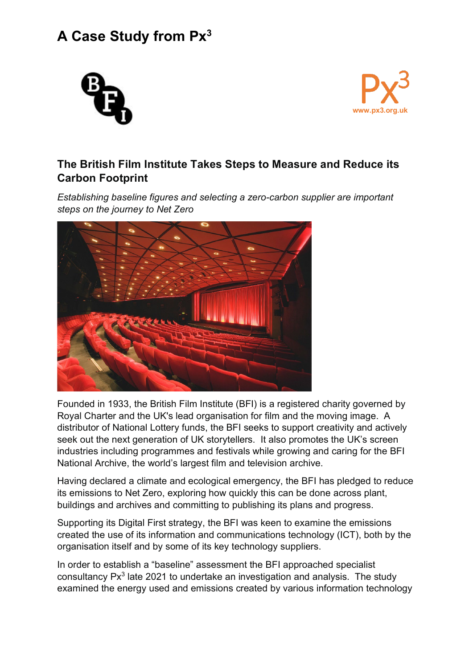## **A Case Study from Px3**





## **The British Film Institute Takes Steps to Measure and Reduce its Carbon Footprint**

*Establishing baseline figures and selecting a zero-carbon supplier are important steps on the journey to Net Zero*



Founded in 1933, the British Film Institute (BFI) is a registered charity governed by Royal Charter and the UK's lead organisation for film and the moving image. A distributor of National Lottery funds, the BFI seeks to support creativity and actively seek out the next generation of UK storytellers. It also promotes the UK's screen industries including programmes and festivals while growing and caring for the BFI National Archive, the world's largest film and television archive.

Having declared a climate and ecological emergency, the BFI has pledged to reduce its emissions to Net Zero, exploring how quickly this can be done across plant, buildings and archives and committing to publishing its plans and progress.

Supporting its Digital First strategy, the BFI was keen to examine the emissions created the use of its information and communications technology (ICT), both by the organisation itself and by some of its key technology suppliers.

In order to establish a "baseline" assessment the BFI approached specialist consultancy Px<sup>3</sup> late 2021 to undertake an investigation and analysis. The study examined the energy used and emissions created by various information technology